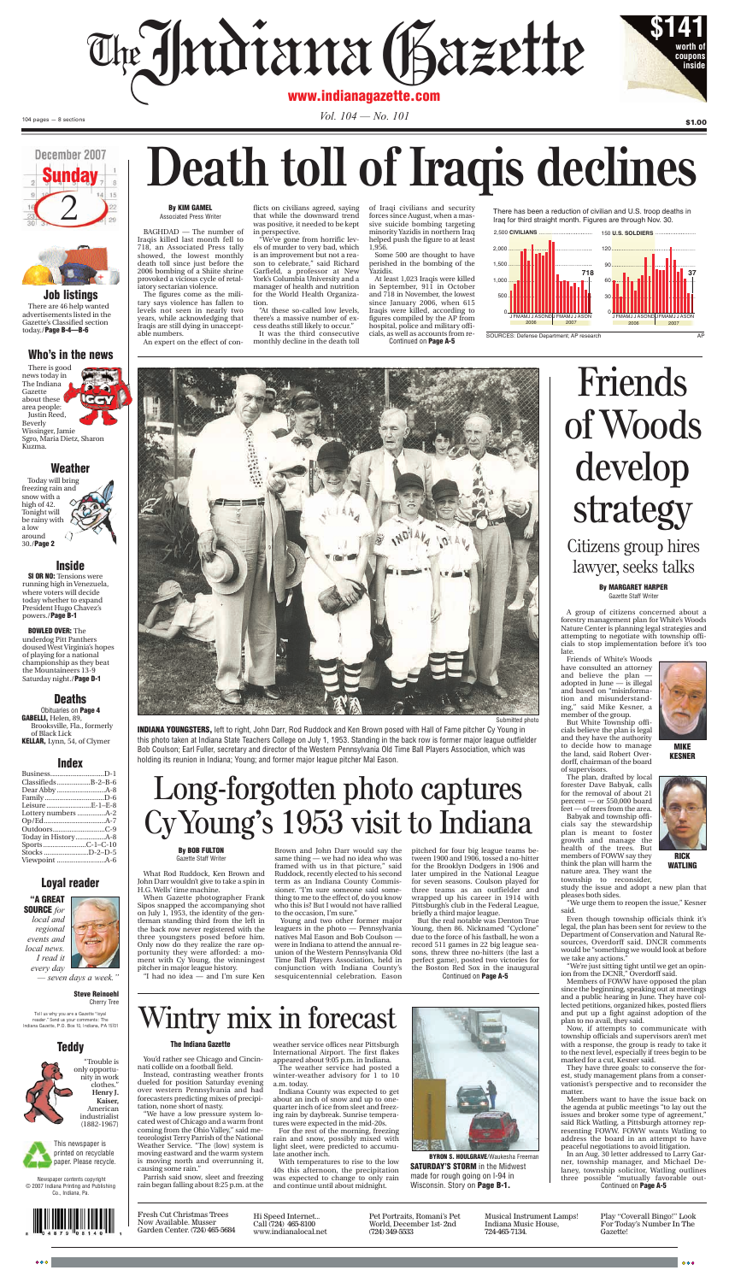

Gazette Staff Writer

A group of citizens concerned about a forestry management plan for White's Woods Nature Center is planning legal strategies and attempting to negotiate with township officials to stop implementation before it's too late

Friends of White's Woods have consulted an attorney and believe the plan adopted in June — is illegal and based on "misinforma-<br>tion and misunderstand-<br> $\lim_{n \to \infty} \frac{1}{n}$ tion and misunderstand-<br>ing," said Mike Kesner, a ing," said Mike Kesner, a member of the group.

But White Township officials believe the plan is legal and they have the authority to decide how to manage the land, said Robert Overdorff, chairman of the board of supervisors.

The plan, drafted by local forester Dave Babyak, calls for the removal of about 21<br>percent — or  $550,000$  board percent — or 550,000 board feet — of trees from the area.

Babyak and township officials say the stewardship plan is meant to foster growth and manage the health of the trees. But members of FOWW say they think the plan will harm the nature area. They want the township to reconsider, study the issue and adopt a new plan that

pleases both sides. 'We urge them to reopen the issue," Kesner said.

Even though township officials think it's legal, the plan has been sent for review to the Department of Conservation and Natural Resources, Overdorff said. DNCR comments would be "something we would look at before we take any actions."

"We're just sitting tight until we get an opinion from the DCNR," Overdorff said.

Members of FOWW have opposed the plan since the beginning, speaking out at meetings and a public hearing in June. They have collected petitions, organized hikes, posted fliers and put up a fight against adoption of the plan to no avail, they said.

Now, if attempts to communicate with township officials and supervisors aren't met with a response, the group is ready to take it to the next level, especially if trees begin to be marked for a cut, Kesner said.

They have three goals: to conserve the forest, study management plans from a conservationist's perspective and to reconsider the matter.

Members want to have the issue back on the agenda at public meetings "to lay out the issues and broker some type of agreement," said Rick Watling, a Pittsburgh attorney rep-

resenting FOWW. FOWW wants Watling to address the board in an attempt to have peaceful negotiations to avoid litigation.

In an Aug. 30 letter addressed to Larry Garner, township manager, and Michael Delaney, township solicitor, Watling outlines three possible "mutually favorable out-Continued on **Page A-5**



**MIKE KESNER**



**WATLING**